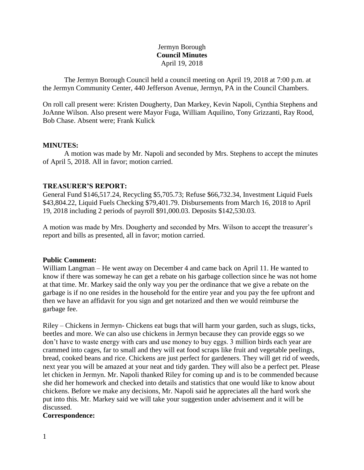# Jermyn Borough **Council Minutes** April 19, 2018

The Jermyn Borough Council held a council meeting on April 19, 2018 at 7:00 p.m. at the Jermyn Community Center, 440 Jefferson Avenue, Jermyn, PA in the Council Chambers.

On roll call present were: Kristen Dougherty, Dan Markey, Kevin Napoli, Cynthia Stephens and JoAnne Wilson. Also present were Mayor Fuga, William Aquilino, Tony Grizzanti, Ray Rood, Bob Chase. Absent were; Frank Kulick

# **MINUTES:**

A motion was made by Mr. Napoli and seconded by Mrs. Stephens to accept the minutes of April 5, 2018. All in favor; motion carried.

# **TREASURER'S REPORT:**

General Fund \$146,517.24, Recycling \$5,705.73; Refuse \$66,732.34, Investment Liquid Fuels \$43,804.22, Liquid Fuels Checking \$79,401.79. Disbursements from March 16, 2018 to April 19, 2018 including 2 periods of payroll \$91,000.03. Deposits \$142,530.03.

A motion was made by Mrs. Dougherty and seconded by Mrs. Wilson to accept the treasurer's report and bills as presented, all in favor; motion carried.

## **Public Comment:**

William Langman – He went away on December 4 and came back on April 11. He wanted to know if there was someway he can get a rebate on his garbage collection since he was not home at that time. Mr. Markey said the only way you per the ordinance that we give a rebate on the garbage is if no one resides in the household for the entire year and you pay the fee upfront and then we have an affidavit for you sign and get notarized and then we would reimburse the garbage fee.

Riley – Chickens in Jermyn- Chickens eat bugs that will harm your garden, such as slugs, ticks, beetles and more. We can also use chickens in Jermyn because they can provide eggs so we don't have to waste energy with cars and use money to buy eggs. 3 million birds each year are crammed into cages, far to small and they will eat food scraps like fruit and vegetable peelings, bread, cooked beans and rice. Chickens are just perfect for gardeners. They will get rid of weeds, next year you will be amazed at your neat and tidy garden. They will also be a perfect pet. Please let chicken in Jermyn. Mr. Napoli thanked Riley for coming up and is to be commended because she did her homework and checked into details and statistics that one would like to know about chickens. Before we make any decisions, Mr. Napoli said he appreciates all the hard work she put into this. Mr. Markey said we will take your suggestion under advisement and it will be discussed.

## **Correspondence:**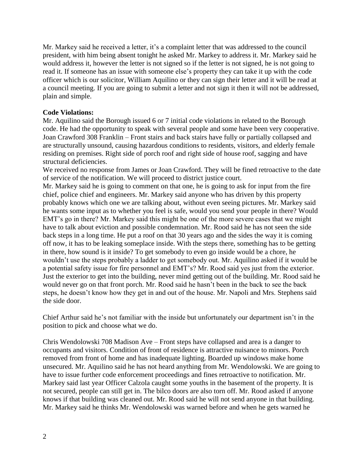Mr. Markey said he received a letter, it's a complaint letter that was addressed to the council president, with him being absent tonight he asked Mr. Markey to address it. Mr. Markey said he would address it, however the letter is not signed so if the letter is not signed, he is not going to read it. If someone has an issue with someone else's property they can take it up with the code officer which is our solicitor, William Aquilino or they can sign their letter and it will be read at a council meeting. If you are going to submit a letter and not sign it then it will not be addressed, plain and simple.

# **Code Violations:**

Mr. Aquilino said the Borough issued 6 or 7 initial code violations in related to the Borough code. He had the opportunity to speak with several people and some have been very cooperative. Joan Crawford 308 Franklin – Front stairs and back stairs have fully or partially collapsed and are structurally unsound, causing hazardous conditions to residents, visitors, and elderly female residing on premises. Right side of porch roof and right side of house roof, sagging and have structural deficiencies.

We received no response from James or Joan Crawford. They will be fined retroactive to the date of service of the notification. We will proceed to district justice court.

Mr. Markey said he is going to comment on that one, he is going to ask for input from the fire chief, police chief and engineers. Mr. Markey said anyone who has driven by this property probably knows which one we are talking about, without even seeing pictures. Mr. Markey said he wants some input as to whether you feel is safe, would you send your people in there? Would EMT's go in there? Mr. Markey said this might be one of the more severe cases that we might have to talk about eviction and possible condemnation. Mr. Rood said he has not seen the side back steps in a long time. He put a roof on that 30 years ago and the sides the way it is coming off now, it has to be leaking someplace inside. With the steps there, something has to be getting in there, how sound is it inside? To get somebody to even go inside would be a chore, he wouldn't use the steps probably a ladder to get somebody out. Mr. Aquilino asked if it would be a potential safety issue for fire personnel and EMT's? Mr. Rood said yes just from the exterior. Just the exterior to get into the building, never mind getting out of the building. Mr. Rood said he would never go on that front porch. Mr. Rood said he hasn't been in the back to see the back steps, he doesn't know how they get in and out of the house. Mr. Napoli and Mrs. Stephens said the side door.

Chief Arthur said he's not familiar with the inside but unfortunately our department isn't in the position to pick and choose what we do.

Chris Wendolowski 708 Madison Ave – Front steps have collapsed and area is a danger to occupants and visitors. Condition of front of residence is attractive nuisance to minors. Porch removed from front of home and has inadequate lighting. Boarded up windows make home unsecured. Mr. Aquilino said he has not heard anything from Mr. Wendolowski. We are going to have to issue further code enforcement proceedings and fines retroactive to notification. Mr. Markey said last year Officer Calzola caught some youths in the basement of the property. It is not secured, people can still get in. The bilco doors are also torn off. Mr. Rood asked if anyone knows if that building was cleaned out. Mr. Rood said he will not send anyone in that building. Mr. Markey said he thinks Mr. Wendolowski was warned before and when he gets warned he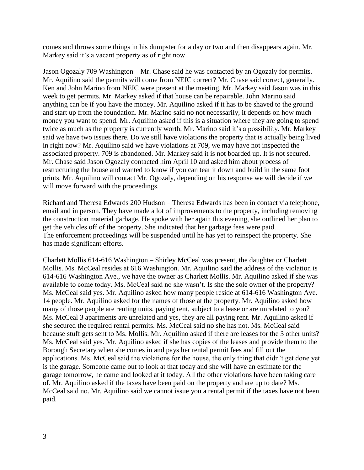comes and throws some things in his dumpster for a day or two and then disappears again. Mr. Markey said it's a vacant property as of right now.

Jason Ogozaly 709 Washington – Mr. Chase said he was contacted by an Ogozaly for permits. Mr. Aquilino said the permits will come from NEIC correct? Mr. Chase said correct, generally. Ken and John Marino from NEIC were present at the meeting. Mr. Markey said Jason was in this week to get permits. Mr. Markey asked if that house can be repairable. John Marino said anything can be if you have the money. Mr. Aquilino asked if it has to be shaved to the ground and start up from the foundation. Mr. Marino said no not necessarily, it depends on how much money you want to spend. Mr. Aquilino asked if this is a situation where they are going to spend twice as much as the property is currently worth. Mr. Marino said it's a possibility. Mr. Markey said we have two issues there. Do we still have violations the property that is actually being lived in right now? Mr. Aquilino said we have violations at 709, we may have not inspected the associated property. 709 is abandoned. Mr. Markey said it is not boarded up. It is not secured. Mr. Chase said Jason Ogozaly contacted him April 10 and asked him about process of restructuring the house and wanted to know if you can tear it down and build in the same foot prints. Mr. Aquilino will contact Mr. Ogozaly, depending on his response we will decide if we will move forward with the proceedings.

Richard and Theresa Edwards 200 Hudson – Theresa Edwards has been in contact via telephone, email and in person. They have made a lot of improvements to the property, including removing the construction material garbage. He spoke with her again this evening, she outlined her plan to get the vehicles off of the property. She indicated that her garbage fees were paid. The enforcement proceedings will be suspended until he has yet to reinspect the property. She has made significant efforts.

Charlett Mollis 614-616 Washington – Shirley McCeal was present, the daughter or Charlett Mollis. Ms. McCeal resides at 616 Washington. Mr. Aquilino said the address of the violation is 614-616 Washington Ave., we have the owner as Charlett Mollis. Mr. Aquilino asked if she was available to come today. Ms. McCeal said no she wasn't. Is she the sole owner of the property? Ms. McCeal said yes. Mr. Aquilino asked how many people reside at 614-616 Washington Ave. 14 people. Mr. Aquilino asked for the names of those at the property. Mr. Aquilino asked how many of those people are renting units, paying rent, subject to a lease or are unrelated to you? Ms. McCeal 3 apartments are unrelated and yes, they are all paying rent. Mr. Aquilino asked if she secured the required rental permits. Ms. McCeal said no she has not. Ms. McCeal said because stuff gets sent to Ms. Mollis. Mr. Aquilino asked if there are leases for the 3 other units? Ms. McCeal said yes. Mr. Aquilino asked if she has copies of the leases and provide them to the Borough Secretary when she comes in and pays her rental permit fees and fill out the applications. Ms. McCeal said the violations for the house, the only thing that didn't get done yet is the garage. Someone came out to look at that today and she will have an estimate for the garage tomorrow, he came and looked at it today. All the other violations have been taking care of. Mr. Aquilino asked if the taxes have been paid on the property and are up to date? Ms. McCeal said no. Mr. Aquilino said we cannot issue you a rental permit if the taxes have not been paid.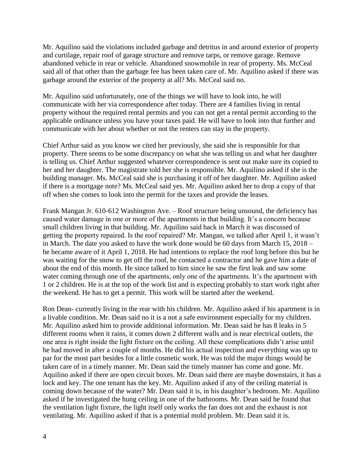Mr. Aquilino said the violations included garbage and detritus in and around exterior of property and curtilage, repair roof of garage structure and remove tarps, or remove garage. Remove abandoned vehicle in rear or vehicle. Abandoned snowmobile in rear of property. Ms. McCeal said all of that other than the garbage fee has been taken care of. Mr. Aquilino asked if there was garbage around the exterior of the property at all? Ms. McCeal said no.

Mr. Aquilino said unfortunately, one of the things we will have to look into, he will communicate with her via correspondence after today. There are 4 families living in rental property without the required rental permits and you can not get a rental permit according to the applicable ordinance unless you have your taxes paid. He will have to look into that further and communicate with her about whether or not the renters can stay in the property.

Chief Arthur said as you know we cited her previously, she said she is responsible for that property. There seems to be some discrepancy on what she was telling us and what her daughter is telling us. Chief Arthur suggested whatever correspondence is sent out make sure its copied to her and her daughter. The magistrate told her she is responsible. Mr. Aquilino asked if she is the building manager. Ms. McCeal said she is purchasing it off of her daughter. Mr. Aquilino asked if there is a mortgage note? Ms. McCeal said yes. Mr. Aquilino asked her to drop a copy of that off when she comes to look into the permit for the taxes and provide the leases.

Frank Mangan Jr. 610-612 Washington Ave. – Roof structure being unsound, the deficiency has caused water damage in one or more of the apartments in that building. It's a concern because small children living in that building. Mr. Aquilino said back in March it was discussed of getting the property repaired. Is the roof repaired? Mr. Mangan, we talked after April 1, it wasn't in March. The date you asked to have the work done would be 60 days from March 15, 2018 – he became aware of it April 1, 2018. He had intentions to replace the roof long before this but he was waiting for the snow to get off the roof, he contacted a contractor and he gave him a date of about the end of this month. He since talked to him since he saw the first leak and saw some water coming through one of the apartments, only one of the apartments. It's the apartment with 1 or 2 children. He is at the top of the work list and is expecting probably to start work right after the weekend. He has to get a permit. This work will be started after the weekend.

Ron Dean- currently living in the rear with his children. Mr. Aquilino asked if his apartment is in a livable condition. Mr. Dean said no it is a not a safe environment especially for my children. Mr. Aquilino asked him to provide additional information. Mr. Dean said he has 8 leaks in 5 different rooms when it rains, it comes down 2 different walls and is near electrical outlets, the one area is right inside the light fixture on the ceiling. All these complications didn't arise until he had moved in after a couple of months. He did his actual inspection and everything was up to par for the most part besides for a little cosmetic work. He was told the major things would be taken care of in a timely manner. Mr. Dean said the timely manner has come and gone. Mr. Aquilino asked if there are open circuit boxes. Mr. Dean said there are maybe downstairs, it has a lock and key. The one tenant has the key. Mr. Aquilino asked if any of the ceiling material is coming down because of the water? Mr. Dean said it is, in his daughter's bedroom. Mr. Aquilino asked if he investigated the hung ceiling in one of the bathrooms. Mr. Dean said he found that the ventilation light fixture, the light itself only works the fan does not and the exhaust is not ventilating. Mr. Aquilino asked if that is a potential mold problem. Mr. Dean said it is.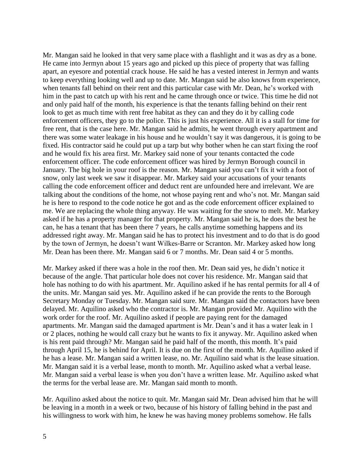Mr. Mangan said he looked in that very same place with a flashlight and it was as dry as a bone. He came into Jermyn about 15 years ago and picked up this piece of property that was falling apart, an eyesore and potential crack house. He said he has a vested interest in Jermyn and wants to keep everything looking well and up to date. Mr. Mangan said he also knows from experience, when tenants fall behind on their rent and this particular case with Mr. Dean, he's worked with him in the past to catch up with his rent and he came through once or twice. This time he did not and only paid half of the month, his experience is that the tenants falling behind on their rent look to get as much time with rent free habitat as they can and they do it by calling code enforcement officers, they go to the police. This is just his experience. All it is a stall for time for free rent, that is the case here. Mr. Mangan said he admits, he went through every apartment and there was some water leakage in his house and he wouldn't say it was dangerous, it is going to be fixed. His contractor said he could put up a tarp but why bother when he can start fixing the roof and he would fix his area first. Mr. Markey said none of your tenants contacted the code enforcement officer. The code enforcement officer was hired by Jermyn Borough council in January. The big hole in your roof is the reason. Mr. Mangan said you can't fix it with a foot of snow, only last week we saw it disappear. Mr. Markey said your accusations of your tenants calling the code enforcement officer and deduct rent are unfounded here and irrelevant. We are talking about the conditions of the home, not whose paying rent and who's not. Mr. Mangan said he is here to respond to the code notice he got and as the code enforcement officer explained to me. We are replacing the whole thing anyway. He was waiting for the snow to melt. Mr. Markey asked if he has a property manager for that property. Mr. Mangan said he is, he does the best he can, he has a tenant that has been there 7 years, he calls anytime something happens and its addressed right away. Mr. Mangan said he has to protect his investment and to do that is do good by the town of Jermyn, he doesn't want Wilkes-Barre or Scranton. Mr. Markey asked how long Mr. Dean has been there. Mr. Mangan said 6 or 7 months. Mr. Dean said 4 or 5 months.

Mr. Markey asked if there was a hole in the roof then. Mr. Dean said yes, he didn't notice it because of the angle. That particular hole does not cover his residence. Mr. Mangan said that hole has nothing to do with his apartment. Mr. Aquilino asked if he has rental permits for all 4 of the units. Mr. Mangan said yes. Mr. Aquilino asked if he can provide the rents to the Borough Secretary Monday or Tuesday. Mr. Mangan said sure. Mr. Mangan said the contactors have been delayed. Mr. Aquilino asked who the contractor is. Mr. Mangan provided Mr. Aquilino with the work order for the roof. Mr. Aquilino asked if people are paying rent for the damaged apartments. Mr. Mangan said the damaged apartment is Mr. Dean's and it has a water leak in 1 or 2 places, nothing he would call crazy but he wants to fix it anyway. Mr. Aquilino asked when is his rent paid through? Mr. Mangan said he paid half of the month, this month. It's paid through April 15, he is behind for April. It is due on the first of the month. Mr. Aquilino asked if he has a lease. Mr. Mangan said a written lease, no. Mr. Aquilino said what is the lease situation. Mr. Mangan said it is a verbal lease, month to month. Mr. Aquilino asked what a verbal lease. Mr. Mangan said a verbal lease is when you don't have a written lease. Mr. Aquilino asked what the terms for the verbal lease are. Mr. Mangan said month to month.

Mr. Aquilino asked about the notice to quit. Mr. Mangan said Mr. Dean advised him that he will be leaving in a month in a week or two, because of his history of falling behind in the past and his willingness to work with him, he knew he was having money problems somehow. He falls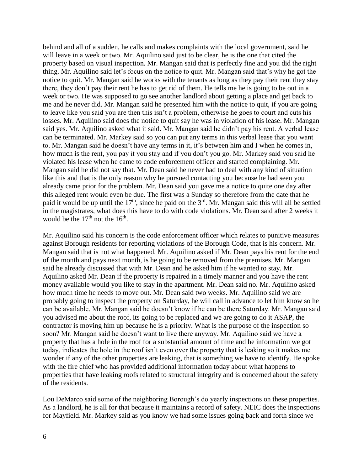behind and all of a sudden, he calls and makes complaints with the local government, said he will leave in a week or two. Mr. Aquilino said just to be clear, he is the one that cited the property based on visual inspection. Mr. Mangan said that is perfectly fine and you did the right thing. Mr. Aquilino said let's focus on the notice to quit. Mr. Mangan said that's why he got the notice to quit. Mr. Mangan said he works with the tenants as long as they pay their rent they stay there, they don't pay their rent he has to get rid of them. He tells me he is going to be out in a week or two. He was supposed to go see another landlord about getting a place and get back to me and he never did. Mr. Mangan said he presented him with the notice to quit, if you are going to leave like you said you are then this isn't a problem, otherwise he goes to court and cuts his losses. Mr. Aquilino said does the notice to quit say he was in violation of his lease. Mr. Mangan said yes. Mr. Aquilino asked what it said. Mr. Mangan said he didn't pay his rent. A verbal lease can be terminated. Mr. Markey said so you can put any terms in this verbal lease that you want to. Mr. Mangan said he doesn't have any terms in it, it's between him and I when he comes in, how much is the rent, you pay it you stay and if you don't you go. Mr. Markey said you said he violated his lease when he came to code enforcement officer and started complaining. Mr. Mangan said he did not say that. Mr. Dean said he never had to deal with any kind of situation like this and that is the only reason why he pursued contacting you because he had seen you already came prior for the problem. Mr. Dean said you gave me a notice to quite one day after this alleged rent would even be due. The first was a Sunday so therefore from the date that he paid it would be up until the 17<sup>th</sup>, since he paid on the 3<sup>rd</sup>. Mr. Mangan said this will all be settled in the magistrates, what does this have to do with code violations. Mr. Dean said after 2 weeks it would be the  $17<sup>th</sup>$  not the  $16<sup>th</sup>$ .

Mr. Aquilino said his concern is the code enforcement officer which relates to punitive measures against Borough residents for reporting violations of the Borough Code, that is his concern. Mr. Mangan said that is not what happened. Mr. Aquilino asked if Mr. Dean pays his rent for the end of the month and pays next month, is he going to be removed from the premises. Mr. Mangan said he already discussed that with Mr. Dean and he asked him if he wanted to stay. Mr. Aquilino asked Mr. Dean if the property is repaired in a timely manner and you have the rent money available would you like to stay in the apartment. Mr. Dean said no. Mr. Aquilino asked how much time he needs to move out. Mr. Dean said two weeks. Mr. Aquilino said we are probably going to inspect the property on Saturday, he will call in advance to let him know so he can be available. Mr. Mangan said he doesn't know if he can be there Saturday. Mr. Mangan said you advised me about the roof, its going to be replaced and we are going to do it ASAP, the contractor is moving him up because he is a priority. What is the purpose of the inspection so soon? Mr. Mangan said he doesn't want to live there anyway. Mr. Aquilino said we have a property that has a hole in the roof for a substantial amount of time and he information we got today, indicates the hole in the roof isn't even over the property that is leaking so it makes me wonder if any of the other properties are leaking, that is something we have to identify. He spoke with the fire chief who has provided additional information today about what happens to properties that have leaking roofs related to structural integrity and is concerned about the safety of the residents.

Lou DeMarco said some of the neighboring Borough's do yearly inspections on these properties. As a landlord, he is all for that because it maintains a record of safety. NEIC does the inspections for Mayfield. Mr. Markey said as you know we had some issues going back and forth since we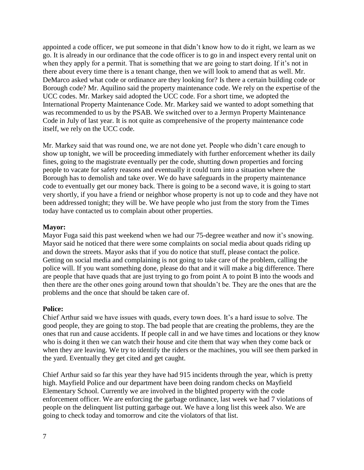appointed a code officer, we put someone in that didn't know how to do it right, we learn as we go. It is already in our ordinance that the code officer is to go in and inspect every rental unit on when they apply for a permit. That is something that we are going to start doing. If it's not in there about every time there is a tenant change, then we will look to amend that as well. Mr. DeMarco asked what code or ordinance are they looking for? Is there a certain building code or Borough code? Mr. Aquilino said the property maintenance code. We rely on the expertise of the UCC codes. Mr. Markey said adopted the UCC code. For a short time, we adopted the International Property Maintenance Code. Mr. Markey said we wanted to adopt something that was recommended to us by the PSAB. We switched over to a Jermyn Property Maintenance Code in July of last year. It is not quite as comprehensive of the property maintenance code itself, we rely on the UCC code.

Mr. Markey said that was round one, we are not done yet. People who didn't care enough to show up tonight, we will be proceeding immediately with further enforcement whether its daily fines, going to the magistrate eventually per the code, shutting down properties and forcing people to vacate for safety reasons and eventually it could turn into a situation where the Borough has to demolish and take over. We do have safeguards in the property maintenance code to eventually get our money back. There is going to be a second wave, it is going to start very shortly, if you have a friend or neighbor whose property is not up to code and they have not been addressed tonight; they will be. We have people who just from the story from the Times today have contacted us to complain about other properties.

## **Mayor:**

Mayor Fuga said this past weekend when we had our 75-degree weather and now it's snowing. Mayor said he noticed that there were some complaints on social media about quads riding up and down the streets. Mayor asks that if you do notice that stuff, please contact the police. Getting on social media and complaining is not going to take care of the problem, calling the police will. If you want something done, please do that and it will make a big difference. There are people that have quads that are just trying to go from point A to point B into the woods and then there are the other ones going around town that shouldn't be. They are the ones that are the problems and the once that should be taken care of.

#### **Police:**

Chief Arthur said we have issues with quads, every town does. It's a hard issue to solve. The good people, they are going to stop. The bad people that are creating the problems, they are the ones that run and cause accidents. If people call in and we have times and locations or they know who is doing it then we can watch their house and cite them that way when they come back or when they are leaving. We try to identify the riders or the machines, you will see them parked in the yard. Eventually they get cited and get caught.

Chief Arthur said so far this year they have had 915 incidents through the year, which is pretty high. Mayfield Police and our department have been doing random checks on Mayfield Elementary School. Currently we are involved in the blighted property with the code enforcement officer. We are enforcing the garbage ordinance, last week we had 7 violations of people on the delinquent list putting garbage out. We have a long list this week also. We are going to check today and tomorrow and cite the violators of that list.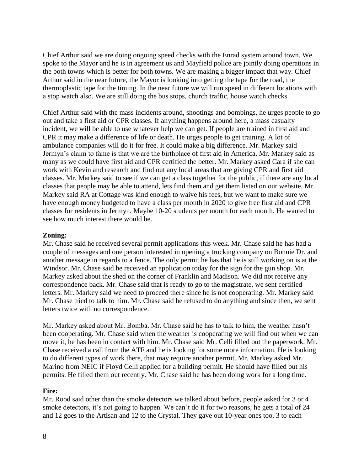Chief Arthur said we are doing ongoing speed checks with the Enrad system around town. We spoke to the Mayor and he is in agreement us and Mayfield police are jointly doing operations in the both towns which is better for both towns. We are making a bigger impact that way. Chief Arthur said in the near future, the Mayor is looking into getting the tape for the road, the thermoplastic tape for the timing. In the near future we will run speed in different locations with a stop watch also. We are still doing the bus stops, church traffic, house watch checks.

Chief Arthur said with the mass incidents around, shootings and bombings, he urges people to go out and take a first aid or CPR classes. If anything happens around here, a mass casualty incident, we will be able to use whatever help we can get. If people are trained in first aid and CPR it may make a difference of life or death. He urges people to get training. A lot of ambulance companies will do it for free. It could make a big difference. Mr. Markey said Jermyn's claim to fame is that we are the birthplace of first aid in America. Mr. Markey said as many as we could have first aid and CPR certified the better. Mr. Markey asked Cara if she can work with Kevin and research and find out any local areas that are giving CPR and first aid classes. Mr. Markey said to see if we can get a class together for the public, if there are any local classes that people may be able to attend, lets find them and get them listed on our website. Mr. Markey said RA at Cottage was kind enough to waive his fees, but we want to make sure we have enough money budgeted to have a class per month in 2020 to give free first aid and CPR classes for residents in Jermyn. Maybe 10-20 students per month for each month. He wanted to see how much interest there would be.

## **Zoning:**

Mr. Chase said he received several permit applications this week. Mr. Chase said he has had a couple of messages and one person interested in opening a trucking company on Bonnie Dr. and another message in regards to a fence. The only permit he has that he is still working on is at the Windsor. Mr. Chase said he received an application today for the sign for the gun shop. Mr. Markey asked about the shed on the corner of Franklin and Madison. We did not receive any correspondence back. Mr. Chase said that is ready to go to the magistrate, we sent certified letters. Mr. Markey said we need to proceed there since he is not cooperating. Mr. Markey said Mr. Chase tried to talk to him. Mr. Chase said he refused to do anything and since then, we sent letters twice with no correspondence.

Mr. Markey asked about Mr. Bomba. Mr. Chase said he has to talk to him, the weather hasn't been cooperating. Mr. Chase said when the weather is cooperating we will find out when we can move it, he has been in contact with him. Mr. Chase said Mr. Celli filled out the paperwork. Mr. Chase received a call from the ATF and he is looking for some more information. He is looking to do different types of work there, that may require another permit. Mr. Markey asked Mr. Marino from NEIC if Floyd Celli applied for a building permit. He should have filled out his permits. He filled them out recently. Mr. Chase said he has been doing work for a long time.

# **Fire:**

Mr. Rood said other than the smoke detectors we talked about before, people asked for 3 or 4 smoke detectors, it's not going to happen. We can't do it for two reasons, he gets a total of 24 and 12 goes to the Artisan and 12 to the Crystal. They gave out 10-year ones too, 3 to each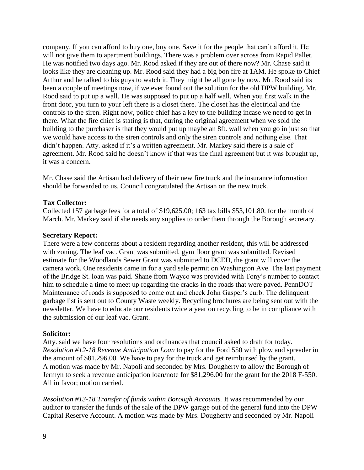company. If you can afford to buy one, buy one. Save it for the people that can't afford it. He will not give them to apartment buildings. There was a problem over across from Rapid Pallet. He was notified two days ago. Mr. Rood asked if they are out of there now? Mr. Chase said it looks like they are cleaning up. Mr. Rood said they had a big bon fire at 1AM. He spoke to Chief Arthur and he talked to his guys to watch it. They might be all gone by now. Mr. Rood said its been a couple of meetings now, if we ever found out the solution for the old DPW building. Mr. Rood said to put up a wall. He was supposed to put up a half wall. When you first walk in the front door, you turn to your left there is a closet there. The closet has the electrical and the controls to the siren. Right now, police chief has a key to the building incase we need to get in there. What the fire chief is stating is that, during the original agreement when we sold the building to the purchaser is that they would put up maybe an 8ft. wall when you go in just so that we would have access to the siren controls and only the siren controls and nothing else. That didn't happen. Atty. asked if it's a written agreement. Mr. Markey said there is a sale of agreement. Mr. Rood said he doesn't know if that was the final agreement but it was brought up, it was a concern.

Mr. Chase said the Artisan had delivery of their new fire truck and the insurance information should be forwarded to us. Council congratulated the Artisan on the new truck.

## **Tax Collector:**

Collected 157 garbage fees for a total of \$19,625.00; 163 tax bills \$53,101.80. for the month of March. Mr. Markey said if she needs any supplies to order them through the Borough secretary.

### **Secretary Report:**

There were a few concerns about a resident regarding another resident, this will be addressed with zoning. The leaf vac. Grant was submitted, gym floor grant was submitted. Revised estimate for the Woodlands Sewer Grant was submitted to DCED, the grant will cover the camera work. One residents came in for a yard sale permit on Washington Ave. The last payment of the Bridge St. loan was paid. Shane from Wayco was provided with Tony's number to contact him to schedule a time to meet up regarding the cracks in the roads that were paved. PennDOT Maintenance of roads is supposed to come out and check John Gasper's curb. The delinquent garbage list is sent out to County Waste weekly. Recycling brochures are being sent out with the newsletter. We have to educate our residents twice a year on recycling to be in compliance with the submission of our leaf vac. Grant.

#### **Solicitor:**

Atty. said we have four resolutions and ordinances that council asked to draft for today. *Resolution #12-18 Revenue Anticipation Loan* to pay for the Ford 550 with plow and spreader in the amount of \$81,296.00. We have to pay for the truck and get reimbursed by the grant. A motion was made by Mr. Napoli and seconded by Mrs. Dougherty to allow the Borough of Jermyn to seek a revenue anticipation loan/note for \$81,296.00 for the grant for the 2018 F-550. All in favor; motion carried.

*Resolution #13-18 Transfer of funds within Borough Accounts.* It was recommended by our auditor to transfer the funds of the sale of the DPW garage out of the general fund into the DPW Capital Reserve Account. A motion was made by Mrs. Dougherty and seconded by Mr. Napoli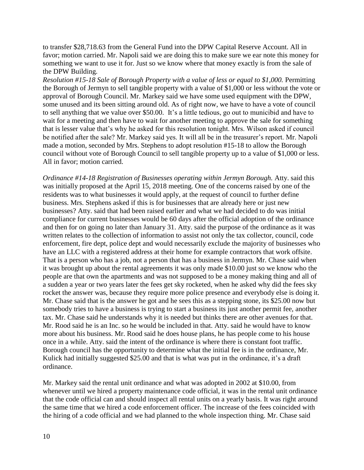to transfer \$28,718.63 from the General Fund into the DPW Capital Reserve Account. All in favor; motion carried. Mr. Napoli said we are doing this to make sure we ear note this money for something we want to use it for. Just so we know where that money exactly is from the sale of the DPW Building.

*Resolution #15-18 Sale of Borough Property with a value of less or equal to \$1,000.* Permitting the Borough of Jermyn to sell tangible property with a value of \$1,000 or less without the vote or approval of Borough Council. Mr. Markey said we have some used equipment with the DPW, some unused and its been sitting around old. As of right now, we have to have a vote of council to sell anything that we value over \$50.00. It's a little tedious, go out to municibid and have to wait for a meeting and then have to wait for another meeting to approve the sale for something that is lesser value that's why he asked for this resolution tonight. Mrs. Wilson asked if council be notified after the sale? Mr. Markey said yes. It will all be in the treasurer's report. Mr. Napoli made a motion, seconded by Mrs. Stephens to adopt resolution #15-18 to allow the Borough council without vote of Borough Council to sell tangible property up to a value of \$1,000 or less. All in favor; motion carried.

*Ordinance #14-18 Registration of Businesses operating within Jermyn Borough.* Atty. said this was initially proposed at the April 15, 2018 meeting. One of the concerns raised by one of the residents was to what businesses it would apply, at the request of council to further define business. Mrs. Stephens asked if this is for businesses that are already here or just new businesses? Atty. said that had been raised earlier and what we had decided to do was initial compliance for current businesses would be 60 days after the official adoption of the ordinance and then for on going no later than January 31. Atty. said the purpose of the ordinance as it was written relates to the collection of information to assist not only the tax collector, council, code enforcement, fire dept, police dept and would necessarily exclude the majority of businesses who have an LLC with a registered address at their home for example contractors that work offsite. That is a person who has a job, not a person that has a business in Jermyn. Mr. Chase said when it was brought up about the rental agreements it was only made \$10.00 just so we know who the people are that own the apartments and was not supposed to be a money making thing and all of a sudden a year or two years later the fees get sky rocketed, when he asked why did the fees sky rocket the answer was, because they require more police presence and everybody else is doing it. Mr. Chase said that is the answer he got and he sees this as a stepping stone, its \$25.00 now but somebody tries to have a business is trying to start a business its just another permit fee, another tax. Mr. Chase said he understands why it is needed but thinks there are other avenues for that. Mr. Rood said he is an Inc. so he would be included in that. Atty. said he would have to know more about his business. Mr. Rood said he does house plans, he has people come to his house once in a while. Atty. said the intent of the ordinance is where there is constant foot traffic. Borough council has the opportunity to determine what the initial fee is in the ordinance, Mr. Kulick had initially suggested \$25.00 and that is what was put in the ordinance, it's a draft ordinance.

Mr. Markey said the rental unit ordinance and what was adopted in 2002 at \$10.00, from whenever until we hired a property maintenance code official, it was in the rental unit ordinance that the code official can and should inspect all rental units on a yearly basis. It was right around the same time that we hired a code enforcement officer. The increase of the fees coincided with the hiring of a code official and we had planned to the whole inspection thing. Mr. Chase said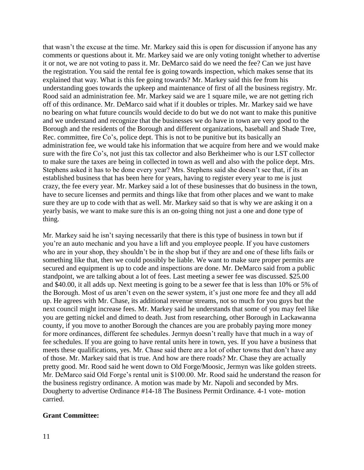that wasn't the excuse at the time. Mr. Markey said this is open for discussion if anyone has any comments or questions about it. Mr. Markey said we are only voting tonight whether to advertise it or not, we are not voting to pass it. Mr. DeMarco said do we need the fee? Can we just have the registration. You said the rental fee is going towards inspection, which makes sense that its explained that way. What is this fee going towards? Mr. Markey said this fee from his understanding goes towards the upkeep and maintenance of first of all the business registry. Mr. Rood said an administration fee. Mr. Markey said we are 1 square mile, we are not getting rich off of this ordinance. Mr. DeMarco said what if it doubles or triples. Mr. Markey said we have no bearing on what future councils would decide to do but we do not want to make this punitive and we understand and recognize that the businesses we do have in town are very good to the Borough and the residents of the Borough and different organizations, baseball and Shade Tree, Rec. committee, fire Co's, police dept. This is not to be punitive but its basically an administration fee, we would take his information that we acquire from here and we would make sure with the fire Co's, not just this tax collector and also Berkheimer who is our LST collector to make sure the taxes are being in collected in town as well and also with the police dept. Mrs. Stephens asked it has to be done every year? Mrs. Stephens said she doesn't see that, if its an established business that has been here for years, having to register every year to me is just crazy, the fee every year. Mr. Markey said a lot of these businesses that do business in the town, have to secure licenses and permits and things like that from other places and we want to make sure they are up to code with that as well. Mr. Markey said so that is why we are asking it on a yearly basis, we want to make sure this is an on-going thing not just a one and done type of thing.

Mr. Markey said he isn't saying necessarily that there is this type of business in town but if you're an auto mechanic and you have a lift and you employee people. If you have customers who are in your shop, they shouldn't be in the shop but if they are and one of these lifts fails or something like that, then we could possibly be liable. We want to make sure proper permits are secured and equipment is up to code and inspections are done. Mr. DeMarco said from a public standpoint, we are talking about a lot of fees. Last meeting a sewer fee was discussed. \$25.00 and \$40.00, it all adds up. Next meeting is going to be a sewer fee that is less than 10% or 5% of the Borough. Most of us aren't even on the sewer system, it's just one more fee and they all add up. He agrees with Mr. Chase, its additional revenue streams, not so much for you guys but the next council might increase fees. Mr. Markey said he understands that some of you may feel like you are getting nickel and dimed to death. Just from researching, other Borough in Lackawanna county, if you move to another Borough the chances are you are probably paying more money for more ordinances, different fee schedules. Jermyn doesn't really have that much in a way of fee schedules. If you are going to have rental units here in town, yes. If you have a business that meets these qualifications, yes. Mr. Chase said there are a lot of other towns that don't have any of those. Mr. Markey said that is true. And how are there roads? Mr. Chase they are actually pretty good. Mr. Rood said he went down to Old Forge/Moosic, Jermyn was like golden streets. Mr. DeMarco said Old Forge's rental unit is \$100.00. Mr. Rood said he understand the reason for the business registry ordinance. A motion was made by Mr. Napoli and seconded by Mrs. Dougherty to advertise Ordinance #14-18 The Business Permit Ordinance. 4-1 vote- motion carried.

# **Grant Committee:**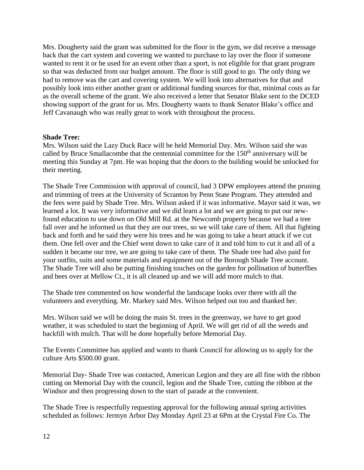Mrs. Dougherty said the grant was submitted for the floor in the gym, we did receive a message back that the cart system and covering we wanted to purchase to lay over the floor if someone wanted to rent it or be used for an event other than a sport, is not eligible for that grant program so that was deducted from our budget amount. The floor is still good to go. The only thing we had to remove was the cart and covering system. We will look into alternatives for that and possibly look into either another grant or additional funding sources for that, minimal costs as far as the overall scheme of the grant. We also received a letter that Senator Blake sent to the DCED showing support of the grant for us. Mrs. Dougherty wants to thank Senator Blake's office and Jeff Cavanaugh who was really great to work with throughout the process.

# **Shade Tree:**

Mrs. Wilson said the Lazy Duck Race will be held Memorial Day. Mrs. Wilson said she was called by Bruce Smallacombe that the centennial committee for the 150<sup>th</sup> anniversary will be meeting this Sunday at 7pm. He was hoping that the doors to the building would be unlocked for their meeting.

The Shade Tree Commission with approval of council, had 3 DPW employees attend the pruning and trimming of trees at the University of Scranton by Penn State Program. They attended and the fees were paid by Shade Tree. Mrs. Wilson asked if it was informative. Mayor said it was, we learned a lot. It was very informative and we did learn a lot and we are going to put our newfound education to use down on Old Mill Rd. at the Newcomb property because we had a tree fall over and he informed us that they are our trees, so we will take care of them. All that fighting back and forth and he said they were his trees and he was going to take a heart attack if we cut them. One fell over and the Chief went down to take care of it and told him to cut it and all of a sudden it became our tree, we are going to take care of them. The Shade tree had also paid for your outfits, suits and some materials and equipment out of the Borough Shade Tree account. The Shade Tree will also be putting finishing touches on the garden for pollination of butterflies and bees over at Mellow Ct., it is all cleaned up and we will add more mulch to that.

The Shade tree commented on how wonderful the landscape looks over there with all the volunteers and everything. Mr. Markey said Mrs. Wilson helped out too and thanked her.

Mrs. Wilson said we will be doing the main St. trees in the greenway, we have to get good weather, it was scheduled to start the beginning of April. We will get rid of all the weeds and backfill with mulch. That will be done hopefully before Memorial Day.

The Events Committee has applied and wants to thank Council for allowing us to apply for the culture Arts \$500.00 grant.

Memorial Day- Shade Tree was contacted, American Legion and they are all fine with the ribbon cutting on Memorial Day with the council, legion and the Shade Tree, cutting the ribbon at the Windsor and then progressing down to the start of parade at the convenient.

The Shade Tree is respectfully requesting approval for the following annual spring activities scheduled as follows: Jermyn Arbor Day Monday April 23 at 6Pm at the Crystal Fire Co. The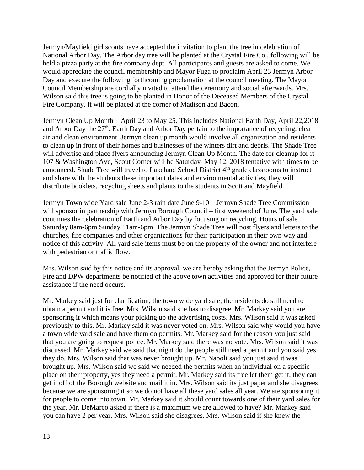Jermyn/Mayfield girl scouts have accepted the invitation to plant the tree in celebration of National Arbor Day. The Arbor day tree will be planted at the Crystal Fire Co., following will be held a pizza party at the fire company dept. All participants and guests are asked to come. We would appreciate the council membership and Mayor Fuga to proclaim April 23 Jermyn Arbor Day and execute the following forthcoming proclamation at the council meeting. The Mayor Council Membership are cordially invited to attend the ceremony and social afterwards. Mrs. Wilson said this tree is going to be planted in Honor of the Deceased Members of the Crystal Fire Company. It will be placed at the corner of Madison and Bacon.

Jermyn Clean Up Month – April 23 to May 25. This includes National Earth Day, April 22,2018 and Arbor Day the 27<sup>th</sup>. Earth Day and Arbor Day pertain to the importance of recycling, clean air and clean environment. Jermyn clean up month would involve all organization and residents to clean up in front of their homes and businesses of the winters dirt and debris. The Shade Tree will advertise and place flyers announcing Jermyn Clean Up Month. The date for cleanup for rt 107 & Washington Ave, Scout Corner will be Saturday May 12, 2018 tentative with times to be announced. Shade Tree will travel to Lakeland School District 4<sup>th</sup> grade classrooms to instruct and share with the students these important dates and environmental activities, they will distribute booklets, recycling sheets and plants to the students in Scott and Mayfield

Jermyn Town wide Yard sale June 2-3 rain date June 9-10 – Jermyn Shade Tree Commission will sponsor in partnership with Jermyn Borough Council – first weekend of June. The yard sale continues the celebration of Earth and Arbor Day by focusing on recycling. Hours of sale Saturday 8am-6pm Sunday 11am-6pm. The Jermyn Shade Tree will post flyers and letters to the churches, fire companies and other organizations for their participation in their own way and notice of this activity. All yard sale items must be on the property of the owner and not interfere with pedestrian or traffic flow.

Mrs. Wilson said by this notice and its approval, we are hereby asking that the Jermyn Police, Fire and DPW departments be notified of the above town activities and approved for their future assistance if the need occurs.

Mr. Markey said just for clarification, the town wide yard sale; the residents do still need to obtain a permit and it is free. Mrs. Wilson said she has to disagree. Mr. Markey said you are sponsoring it which means your picking up the advertising costs. Mrs. Wilson said it was asked previously to this. Mr. Markey said it was never voted on. Mrs. Wilson said why would you have a town wide yard sale and have them do permits. Mr. Markey said for the reason you just said that you are going to request police. Mr. Markey said there was no vote. Mrs. Wilson said it was discussed. Mr. Markey said we said that night do the people still need a permit and you said yes they do. Mrs. Wilson said that was never brought up. Mr. Napoli said you just said it was brought up. Mrs. Wilson said we said we needed the permits when an individual on a specific place on their property, yes they need a permit. Mr. Markey said its free let them get it, they can get it off of the Borough website and mail it in. Mrs. Wilson said its just paper and she disagrees because we are sponsoring it so we do not have all these yard sales all year. We are sponsoring it for people to come into town. Mr. Markey said it should count towards one of their yard sales for the year. Mr. DeMarco asked if there is a maximum we are allowed to have? Mr. Markey said you can have 2 per year. Mrs. Wilson said she disagrees. Mrs. Wilson said if she knew the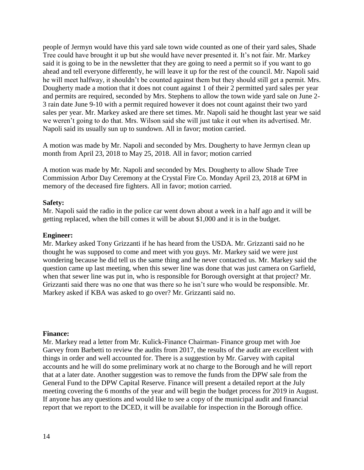people of Jermyn would have this yard sale town wide counted as one of their yard sales, Shade Tree could have brought it up but she would have never presented it. It's not fair. Mr. Markey said it is going to be in the newsletter that they are going to need a permit so if you want to go ahead and tell everyone differently, he will leave it up for the rest of the council. Mr. Napoli said he will meet halfway, it shouldn't be counted against them but they should still get a permit. Mrs. Dougherty made a motion that it does not count against 1 of their 2 permitted yard sales per year and permits are required, seconded by Mrs. Stephens to allow the town wide yard sale on June 2- 3 rain date June 9-10 with a permit required however it does not count against their two yard sales per year. Mr. Markey asked are there set times. Mr. Napoli said he thought last year we said we weren't going to do that. Mrs. Wilson said she will just take it out when its advertised. Mr. Napoli said its usually sun up to sundown. All in favor; motion carried.

A motion was made by Mr. Napoli and seconded by Mrs. Dougherty to have Jermyn clean up month from April 23, 2018 to May 25, 2018. All in favor; motion carried

A motion was made by Mr. Napoli and seconded by Mrs. Dougherty to allow Shade Tree Commission Arbor Day Ceremony at the Crystal Fire Co. Monday April 23, 2018 at 6PM in memory of the deceased fire fighters. All in favor; motion carried.

## **Safety:**

Mr. Napoli said the radio in the police car went down about a week in a half ago and it will be getting replaced, when the bill comes it will be about \$1,000 and it is in the budget.

## **Engineer:**

Mr. Markey asked Tony Grizzanti if he has heard from the USDA. Mr. Grizzanti said no he thought he was supposed to come and meet with you guys. Mr. Markey said we were just wondering because he did tell us the same thing and he never contacted us. Mr. Markey said the question came up last meeting, when this sewer line was done that was just camera on Garfield, when that sewer line was put in, who is responsible for Borough oversight at that project? Mr. Grizzanti said there was no one that was there so he isn't sure who would be responsible. Mr. Markey asked if KBA was asked to go over? Mr. Grizzanti said no.

## **Finance:**

Mr. Markey read a letter from Mr. Kulick-Finance Chairman- Finance group met with Joe Garvey from Barbetti to review the audits from 2017, the results of the audit are excellent with things in order and well accounted for. There is a suggestion by Mr. Garvey with capital accounts and he will do some preliminary work at no charge to the Borough and he will report that at a later date. Another suggestion was to remove the funds from the DPW sale from the General Fund to the DPW Capital Reserve. Finance will present a detailed report at the July meeting covering the 6 months of the year and will begin the budget process for 2019 in August. If anyone has any questions and would like to see a copy of the municipal audit and financial report that we report to the DCED, it will be available for inspection in the Borough office.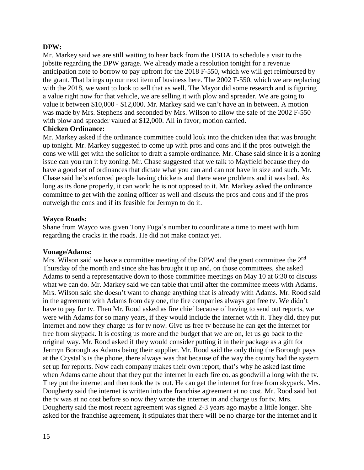# **DPW:**

Mr. Markey said we are still waiting to hear back from the USDA to schedule a visit to the jobsite regarding the DPW garage. We already made a resolution tonight for a revenue anticipation note to borrow to pay upfront for the 2018 F-550, which we will get reimbursed by the grant. That brings up our next item of business here. The 2002 F-550, which we are replacing with the 2018, we want to look to sell that as well. The Mayor did some research and is figuring a value right now for that vehicle, we are selling it with plow and spreader. We are going to value it between \$10,000 - \$12,000. Mr. Markey said we can't have an in between. A motion was made by Mrs. Stephens and seconded by Mrs. Wilson to allow the sale of the 2002 F-550 with plow and spreader valued at \$12,000. All in favor; motion carried.

## **Chicken Ordinance:**

Mr. Markey asked if the ordinance committee could look into the chicken idea that was brought up tonight. Mr. Markey suggested to come up with pros and cons and if the pros outweigh the cons we will get with the solicitor to draft a sample ordinance. Mr. Chase said since it is a zoning issue can you run it by zoning. Mr. Chase suggested that we talk to Mayfield because they do have a good set of ordinances that dictate what you can and can not have in size and such. Mr. Chase said he's enforced people having chickens and there were problems and it was bad. As long as its done properly, it can work; he is not opposed to it. Mr. Markey asked the ordinance committee to get with the zoning officer as well and discuss the pros and cons and if the pros outweigh the cons and if its feasible for Jermyn to do it.

# **Wayco Roads:**

Shane from Wayco was given Tony Fuga's number to coordinate a time to meet with him regarding the cracks in the roads. He did not make contact yet.

# **Vonage/Adams:**

Mrs. Wilson said we have a committee meeting of the DPW and the grant committee the 2<sup>nd</sup> Thursday of the month and since she has brought it up and, on those committees, she asked Adams to send a representative down to those committee meetings on May 10 at 6:30 to discuss what we can do. Mr. Markey said we can table that until after the committee meets with Adams. Mrs. Wilson said she doesn't want to change anything that is already with Adams. Mr. Rood said in the agreement with Adams from day one, the fire companies always got free tv. We didn't have to pay for tv. Then Mr. Rood asked as fire chief because of having to send out reports, we were with Adams for so many years, if they would include the internet with it. They did, they put internet and now they charge us for tv now. Give us free tv because he can get the internet for free from skypack. It is costing us more and the budget that we are on, let us go back to the original way. Mr. Rood asked if they would consider putting it in their package as a gift for Jermyn Borough as Adams being their supplier. Mr. Rood said the only thing the Borough pays at the Crystal's is the phone, there always was that because of the way the county had the system set up for reports. Now each company makes their own report, that's why he asked last time when Adams came about that they put the internet in each fire co. as goodwill a long with the tv. They put the internet and then took the tv out. He can get the internet for free from skypack. Mrs. Dougherty said the internet is written into the franchise agreement at no cost. Mr. Rood said but the tv was at no cost before so now they wrote the internet in and charge us for tv. Mrs. Dougherty said the most recent agreement was signed 2-3 years ago maybe a little longer. She asked for the franchise agreement, it stipulates that there will be no charge for the internet and it